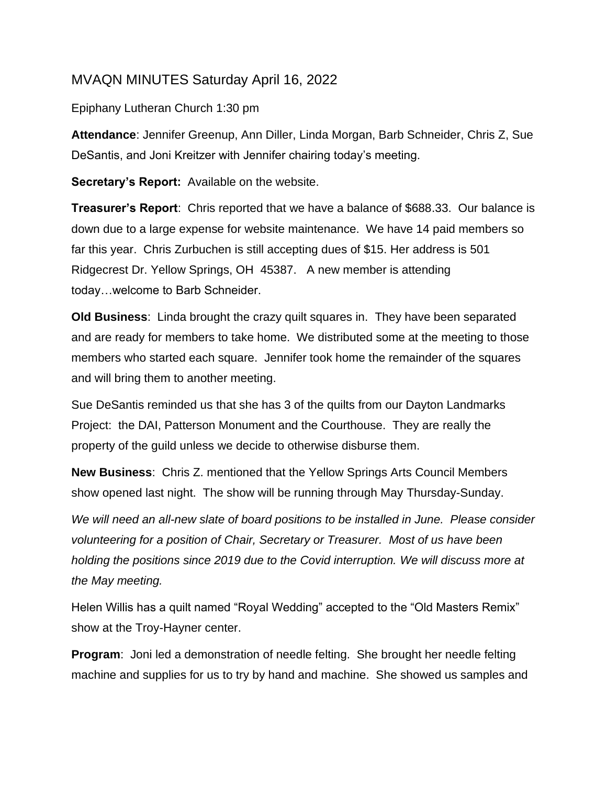## MVAQN MINUTES Saturday April 16, 2022

## Epiphany Lutheran Church 1:30 pm

**Attendance**: Jennifer Greenup, Ann Diller, Linda Morgan, Barb Schneider, Chris Z, Sue DeSantis, and Joni Kreitzer with Jennifer chairing today's meeting.

**Secretary's Report:** Available on the website.

**Treasurer's Report**: Chris reported that we have a balance of \$688.33. Our balance is down due to a large expense for website maintenance. We have 14 paid members so far this year. Chris Zurbuchen is still accepting dues of \$15. Her address is 501 Ridgecrest Dr. Yellow Springs, OH 45387. A new member is attending today…welcome to Barb Schneider.

**Old Business**: Linda brought the crazy quilt squares in. They have been separated and are ready for members to take home. We distributed some at the meeting to those members who started each square. Jennifer took home the remainder of the squares and will bring them to another meeting.

Sue DeSantis reminded us that she has 3 of the quilts from our Dayton Landmarks Project: the DAI, Patterson Monument and the Courthouse. They are really the property of the guild unless we decide to otherwise disburse them.

**New Business**: Chris Z. mentioned that the Yellow Springs Arts Council Members show opened last night. The show will be running through May Thursday-Sunday.

*We will need an all-new slate of board positions to be installed in June. Please consider volunteering for a position of Chair, Secretary or Treasurer. Most of us have been holding the positions since 2019 due to the Covid interruption. We will discuss more at the May meeting.*

Helen Willis has a quilt named "Royal Wedding" accepted to the "Old Masters Remix" show at the Troy-Hayner center.

**Program**: Joni led a demonstration of needle felting. She brought her needle felting machine and supplies for us to try by hand and machine. She showed us samples and